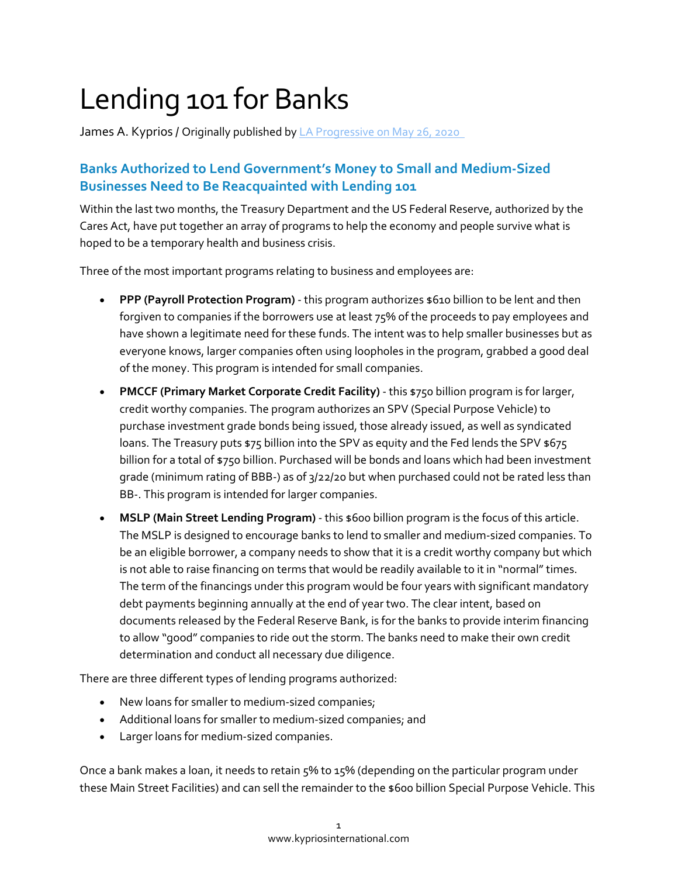# Lending 101 for Banks

James A. Kyprios / Originally published b[y LA Progressive on](https://www.laprogressive.com/lending-101-for-banks/) May 26, 2020

## **Banks Authorized to Lend Government's Money to Small and Medium-Sized Businesses Need to Be Reacquainted with Lending 101**

Within the last two months, the Treasury Department and the US Federal Reserve, authorized by the Cares Act, have put together an array of programs to help the economy and people survive what is hoped to be a temporary health and business crisis.

Three of the most important programs relating to business and employees are:

- **PPP (Payroll Protection Program)** this program authorizes \$610 billion to be lent and then forgiven to companies if the borrowers use at least 75% of the proceeds to pay employees and have shown a legitimate need for these funds. The intent was to help smaller businesses but as everyone knows, larger companies often using loopholes in the program, grabbed a good deal of the money. This program is intended for small companies.
- **PMCCF (Primary Market Corporate Credit Facility)** this \$750 billion program is for larger, credit worthy companies. The program authorizes an SPV (Special Purpose Vehicle) to purchase investment grade bonds being issued, those already issued, as well as syndicated loans. The Treasury puts \$75 billion into the SPV as equity and the Fed lends the SPV \$675 billion for a total of \$750 billion. Purchased will be bonds and loans which had been investment grade (minimum rating of BBB-) as of 3/22/20 but when purchased could not be rated less than BB-. This program is intended for larger companies.
- **MSLP (Main Street Lending Program)** this \$600 billion program is the focus of this article. The MSLP is designed to encourage banks to lend to smaller and medium-sized companies. To be an eligible borrower, a company needs to show that it is a credit worthy company but which is not able to raise financing on terms that would be readily available to it in "normal" times. The term of the financings under this program would be four years with significant mandatory debt payments beginning annually at the end of year two. The clear intent, based on documents released by the Federal Reserve Bank, is for the banks to provide interim financing to allow "good" companies to ride out the storm. The banks need to make their own credit determination and conduct all necessary due diligence.

There are three different types of lending programs authorized:

- New loans for smaller to medium-sized companies;
- Additional loans for smaller to medium-sized companies; and
- Larger loans for medium-sized companies.

Once a bank makes a loan, it needs to retain 5% to 15% (depending on the particular program under these Main Street Facilities) and can sell the remainder to the \$600 billion Special Purpose Vehicle. This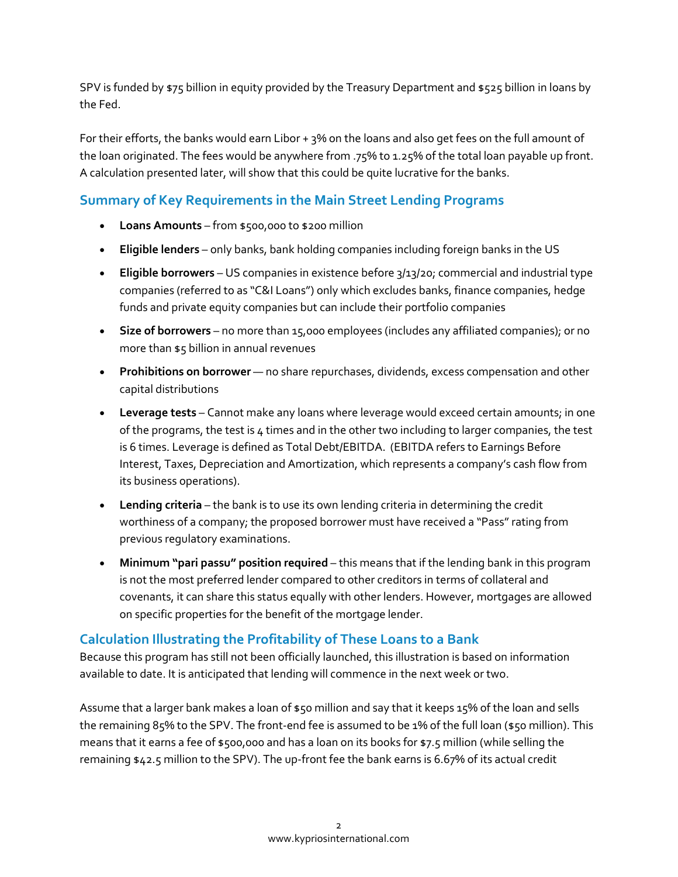SPV is funded by \$75 billion in equity provided by the Treasury Department and \$525 billion in loans by the Fed.

For their efforts, the banks would earn Libor + 3% on the loans and also get fees on the full amount of the loan originated. The fees would be anywhere from .75% to 1.25% of the total loan payable up front. A calculation presented later, will show that this could be quite lucrative for the banks.

## **Summary of Key Requirements in the Main Street Lending Programs**

- **Loans Amounts** from \$500,000 to \$200 million
- **Eligible lenders** only banks, bank holding companies including foreign banks in the US
- **Eligible borrowers** US companies in existence before 3/13/20; commercial and industrial type companies (referred to as "C&I Loans") only which excludes banks, finance companies, hedge funds and private equity companies but can include their portfolio companies
- **Size of borrowers** no more than 15,000 employees (includes any affiliated companies); or no more than \$5 billion in annual revenues
- **Prohibitions on borrower** no share repurchases, dividends, excess compensation and other capital distributions
- **Leverage tests** Cannot make any loans where leverage would exceed certain amounts; in one of the programs, the test is 4 times and in the other two including to larger companies, the test is 6 times. Leverage is defined as Total Debt/EBITDA. (EBITDA refers to Earnings Before Interest, Taxes, Depreciation and Amortization, which represents a company's cash flow from its business operations).
- **Lending criteria** the bank is to use its own lending criteria in determining the credit worthiness of a company; the proposed borrower must have received a "Pass" rating from previous regulatory examinations.
- **Minimum "pari passu" position required** this means that if the lending bank in this program is not the most preferred lender compared to other creditors in terms of collateral and covenants, it can share this status equally with other lenders. However, mortgages are allowed on specific properties for the benefit of the mortgage lender.

### **Calculation Illustrating the Profitability of These Loans to a Bank**

Because this program has still not been officially launched, this illustration is based on information available to date. It is anticipated that lending will commence in the next week or two.

Assume that a larger bank makes a loan of \$50 million and say that it keeps 15% of the loan and sells the remaining 85% to the SPV. The front-end fee is assumed to be 1% of the full loan (\$50 million). This means that it earns a fee of \$500,000 and has a loan on its books for \$7.5 million (while selling the remaining \$42.5 million to the SPV). The up-front fee the bank earns is 6.67% of its actual credit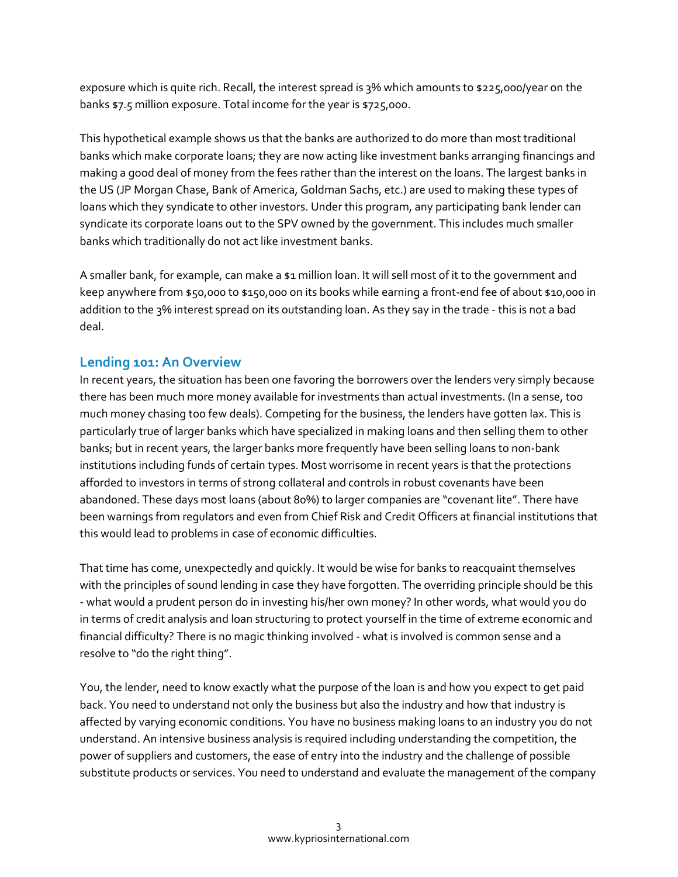exposure which is quite rich. Recall, the interest spread is 3% which amounts to \$225,000/year on the banks \$7.5 million exposure. Total income for the year is \$725,000.

This hypothetical example shows us that the banks are authorized to do more than most traditional banks which make corporate loans; they are now acting like investment banks arranging financings and making a good deal of money from the fees rather than the interest on the loans. The largest banks in the US (JP Morgan Chase, Bank of America, Goldman Sachs, etc.) are used to making these types of loans which they syndicate to other investors. Under this program, any participating bank lender can syndicate its corporate loans out to the SPV owned by the government. This includes much smaller banks which traditionally do not act like investment banks.

A smaller bank, for example, can make a \$1 million loan. It will sell most of it to the government and keep anywhere from \$50,000 to \$150,000 on its books while earning a front-end fee of about \$10,000 in addition to the 3% interest spread on its outstanding loan. As they say in the trade - this is not a bad deal.

#### **Lending 101: An Overview**

In recent years, the situation has been one favoring the borrowers over the lenders very simply because there has been much more money available for investments than actual investments. (In a sense, too much money chasing too few deals). Competing for the business, the lenders have gotten lax. This is particularly true of larger banks which have specialized in making loans and then selling them to other banks; but in recent years, the larger banks more frequently have been selling loans to non-bank institutions including funds of certain types. Most worrisome in recent years is that the protections afforded to investors in terms of strong collateral and controls in robust covenants have been abandoned. These days most loans (about 80%) to larger companies are "covenant lite". There have been warnings from regulators and even from Chief Risk and Credit Officers at financial institutions that this would lead to problems in case of economic difficulties.

That time has come, unexpectedly and quickly. It would be wise for banks to reacquaint themselves with the principles of sound lending in case they have forgotten. The overriding principle should be this - what would a prudent person do in investing his/her own money? In other words, what would you do in terms of credit analysis and loan structuring to protect yourself in the time of extreme economic and financial difficulty? There is no magic thinking involved - what is involved is common sense and a resolve to "do the right thing".

You, the lender, need to know exactly what the purpose of the loan is and how you expect to get paid back. You need to understand not only the business but also the industry and how that industry is affected by varying economic conditions. You have no business making loans to an industry you do not understand. An intensive business analysis is required including understanding the competition, the power of suppliers and customers, the ease of entry into the industry and the challenge of possible substitute products or services. You need to understand and evaluate the management of the company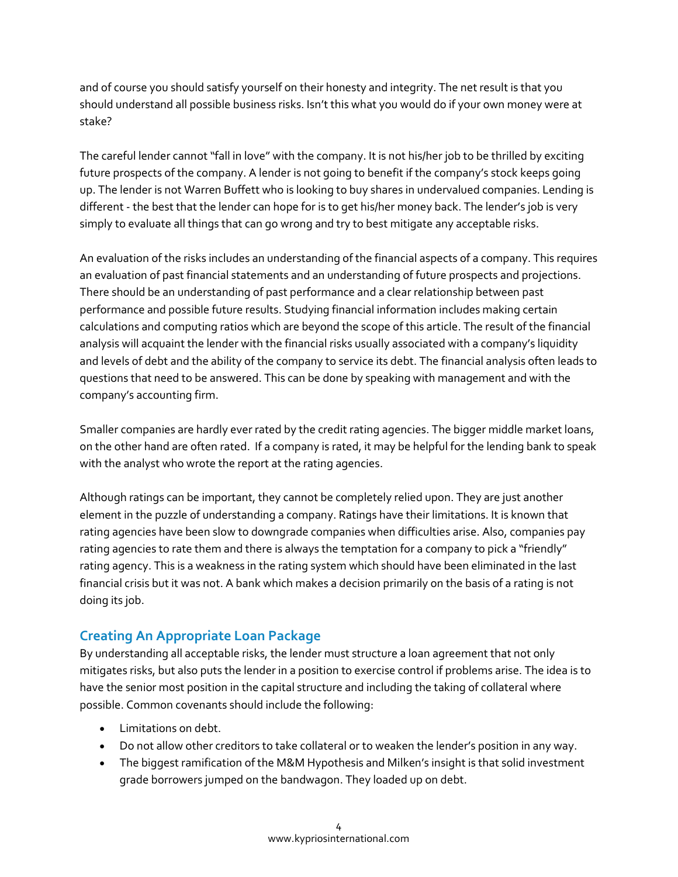and of course you should satisfy yourself on their honesty and integrity. The net result is that you should understand all possible business risks. Isn't this what you would do if your own money were at stake?

The careful lender cannot "fall in love" with the company. It is not his/her job to be thrilled by exciting future prospects of the company. A lender is not going to benefit if the company's stock keeps going up. The lender is not Warren Buffett who is looking to buy shares in undervalued companies. Lending is different - the best that the lender can hope for is to get his/her money back. The lender's job is very simply to evaluate all things that can go wrong and try to best mitigate any acceptable risks.

An evaluation of the risks includes an understanding of the financial aspects of a company. This requires an evaluation of past financial statements and an understanding of future prospects and projections. There should be an understanding of past performance and a clear relationship between past performance and possible future results. Studying financial information includes making certain calculations and computing ratios which are beyond the scope of this article. The result of the financial analysis will acquaint the lender with the financial risks usually associated with a company's liquidity and levels of debt and the ability of the company to service its debt. The financial analysis often leads to questions that need to be answered. This can be done by speaking with management and with the company's accounting firm.

Smaller companies are hardly ever rated by the credit rating agencies. The bigger middle market loans, on the other hand are often rated. If a company is rated, it may be helpful for the lending bank to speak with the analyst who wrote the report at the rating agencies.

Although ratings can be important, they cannot be completely relied upon. They are just another element in the puzzle of understanding a company. Ratings have their limitations. It is known that rating agencies have been slow to downgrade companies when difficulties arise. Also, companies pay rating agencies to rate them and there is always the temptation for a company to pick a "friendly" rating agency. This is a weakness in the rating system which should have been eliminated in the last financial crisis but it was not. A bank which makes a decision primarily on the basis of a rating is not doing its job.

## **Creating An Appropriate Loan Package**

By understanding all acceptable risks, the lender must structure a loan agreement that not only mitigates risks, but also puts the lender in a position to exercise control if problems arise. The idea is to have the senior most position in the capital structure and including the taking of collateral where possible. Common covenants should include the following:

- Limitations on debt.
- Do not allow other creditors to take collateral or to weaken the lender's position in any way.
- The biggest ramification of the M&M Hypothesis and Milken's insight is that solid investment grade borrowers jumped on the bandwagon. They loaded up on debt.